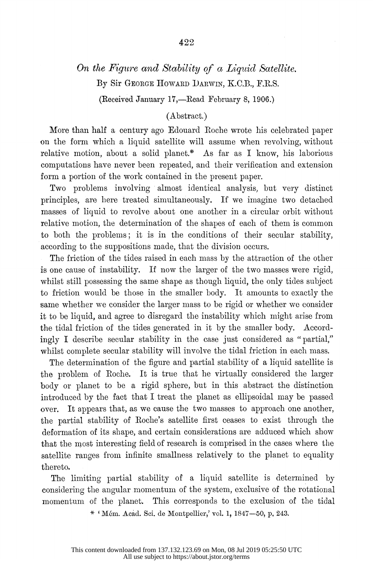## On the Figure and Stability of a Liquid Satellite. By Sir GEORGE HOWARD DARWIN, K.C.B., F.R.S.

(Received January 17,—Read February 8, 1906.)

## (Abstract.)

 More than half a century ago IEdouard Roche wrote his celebrated paper on the form which a liquid satellite will assume when revolving, without relative motion, about a solid planet.\* As far as I know, his laborious computations have never been repeated, and their verification and extension form a portion of the work contained in the present paper.

Two problems involving almost identical analysis, but very distinct principles, are here treated simultaneously. If we imagine two detached masses of liquid to revolve about one another in a circular orbit without relative motion, the determination of the shapes of each of them is common to both the problems; it is in the conditions of their secular stability, according to the suppositions made, that the division occurs.

 The friction of the tides raised in each mass by the attraction of the other is one cause of instability. If now the larger of the two masses were rigid, whilst still possessing the same shape as though liquid, the only tides subject to friction would be those in the snmaller body. It amounts to exactly the same whether we consider the larger mass to be rigid or whether we consider it to be liquid, anld agree to disregard the instability which might arise from the tidal friction of the tides generated in it by the smaller body. Accord ingly I describe secular stability in the case just considered as "partial," whilst complete secular stability will involve the tidal friction in each mass.

 The determination of the figure and partial stability of a liquid satellite is the problem of Roche. It is true that he virtually considered the larger body or planet to be a rigid sphere, but in this abstract the distinction introduced by the fact that I treat the planet as ellipsoidal may be passed over. It appears that, as we cause the two masses to approach one another, the partial stability of Roche's satellite first ceases to exist through the deformnation of its shape, and certain considerations are adduced which show that the most interesting field of research is comprised in the cases where the satellite ranges from infinite smallness relatively to the planet to equality thereto.

The limiting partial stability of a liquid satellite is determined by considering the angular momentum of the system, exclusive of the rotational monmentum of the planet. This corresponds to the exclusion of the tidal

\*  $^*$  Mém. Acad. Sci. de Montpellier,' vol. 1, 1847-50, p. 243.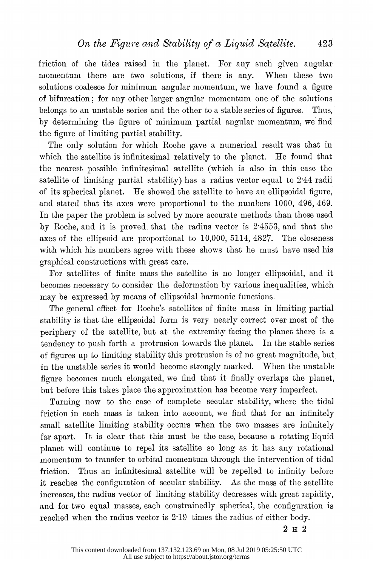friction of the tides raised in the planet. For any such given angular momentum there are two solutions, if there is any. When these two solutions coalesce for minimum angular momentum, we have found a figure of bifurcation; for any other larger angular momentunm one of the solutions belongs to an unstable series and the other to a stable series of figures. Thus, by determining the figure of minimum partial angular momentum, we find the figure of limiting partial stability.

 The only solution for which Roche gave a numerical result was that in which the satellite is infinitesimal relatively to the planet. He found that the nearest possible infinitesimal satellite (whieh is also in this case the satellite of limiting partial stability) has a radius vector equal to 2 44 radii of its spherical planet. He showed the satellite to have an ellipsoidal figure, and stated that its axes were proportional to the numbers 1000, 496, 469. In the paper the problem is solved by more accurate methods than those used by Roche, and it is proved that the radius vector is 2 4553, and that the axes of the ellipsoid are proportional to 10,000, 5114, 4827. The closeness with which his numbers agree with these shows that he must have used his graphical constructions with great care.

For satellites of finite mass the satellite is no longer ellipsoidal, and it becomes necessary to consider the deformation by various inequalities, which may be expressed by means of ellipsoidal harmonic functions

 The general effect for Roche's satellites of finite mass in limiting partial stability is that the ellipsoidal form is very nearly correct over most of the periphery of the satellite, but at the extremity facing the planet there is a tendency to push forth a protrusion towards the planet. In the stable series of figures up to limiting stability this protrusion is of no great magnitude, but in the unstable series it would become strongly marked. When the unstable figure becomes much elongated, we find that it finally overlaps the planet, but before this takes place the approximation has become very imperfect.

Turning now to the case of complete secular stability, where the tidal friction in each nmass is taken into account, we find that for an infinitely small satellite limiting stability occurs when the two masses are infinitely far apart. It is clear that this must be the case, because a rotating liquid planet will continue to repel its satellite so long as it has any rotational momentum to transfer to orbital momentuum through the intervention of tidal friction. Thus an infinitesimal satellite will be repelled to infinity before it reaches the configuration of secular stability. As the miass of the satellite increases, the radius vector of limiting stability decreases with great rapidity, and for two equal masses, each constrainedly spherical, the configuration is reached when the radius vector is 2-19 times the radius of either body.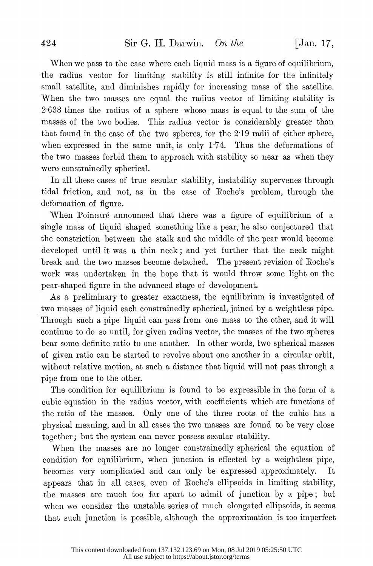When we pass to the case where each liquid mass is a figure of equilibrium, the radius vector for limiting stability is still infinite for the infinitely small satellite, and diminishes rapidly for increasing mass of the satellite. When the two masses are equal the radius vector of limiting stability is 2-638 times the radius of a sphere whose mass is equal to the sum of the masses of the two bodies. This radius vector is considerably greater than that found in the case of the two spheres, for the 219 radii of either sphere, when expressed in the same unit, is only 1-74. Thus the deformations of the two masses forbid them to approach with stability so near as when they were constrainedly spherical.

 In all these cases of true secular stability, instability supervenes through tidal friction, and not, as in the case of Roche's problem, through the deformation of figure.

When Poincaré announced that there was a figure of equilibrium of a single mass of liquid shaped something like a pear, he also conjectured that the constriction between the stalk and the middle of the pear would become developed until it was a thin neck; and yet further that the neck might break and the two masses become detached. The present revision of Roche's work was undertaken in the hope that it would throw some light on the pear-shaped figure in the advanced stage of development.

 As a preliminary to greater exactness, the equilibrium is investigated of two masses of liquid each constrainedly spherical, joined by a weightless pipe. Through such a pipe liquid can pass from one mass to the other, and it will continue to do so until, for given radius vector, the masses of the two spheres bear some definite ratio to one another. In other words, two spherical masses of given ratio can be started to revolve about one another in a circular orbit, without relative motion, at such a distance that liquid will not pass through a pipe from one to the other.

The condition for equilibrium is found to be expressible in the form of a cubic equation in the radius vector, with coefficients which are functions of the ratio of the masses. Only one of the three roots of the cubic has a physical meaning, and in all cases the two masses are found to be very close together; but the system can never possess secular stability.

 When the masses are no longer constrainedly spherical the equation of condition for equilibrium, when junction is effected by a weightless pipe, becomes very complicated and can only be expressed approximately. It appears that in all cases, even of Roehe's ellipsoids in limiting stability, the masses are much too far apart to admit of junction by a pipe; but when we consider the unstable series of much elongated ellipsoids, it seems that such junction is possible, although the approximation is too imperfect